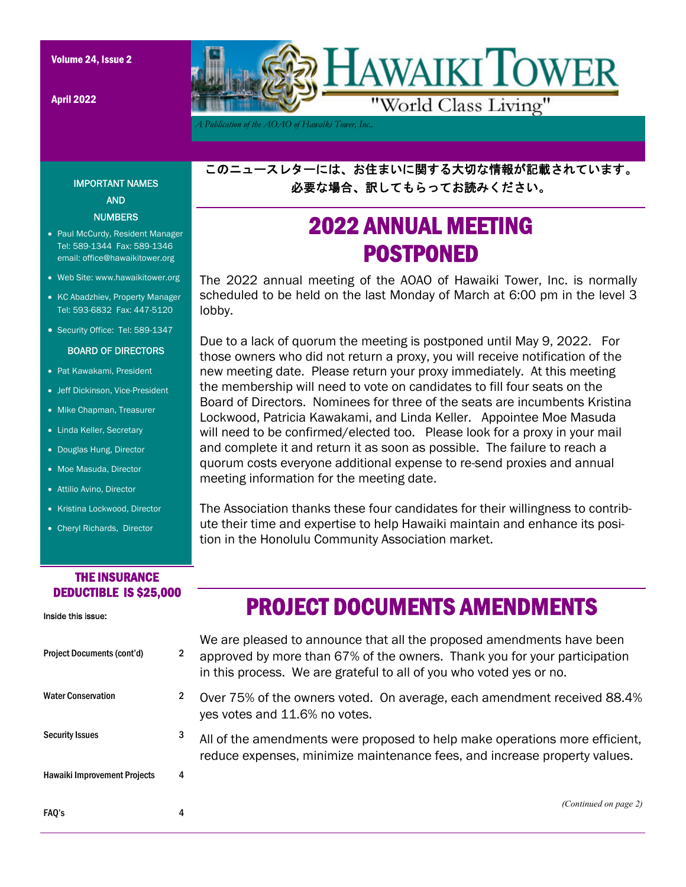IMPORTANT NAMES AND **NUMBERS** • Paul McCurdy, Resident Manager Tel: 589-1344 Fax: 589-1346 email: office@hawaikitower.org Web Site: www.hawaikitower.org • KC Abadzhiev, Property Manager Tel: 593-6832 Fax: 447-5120 • Security Office: Tel: 589-1347 BOARD OF DIRECTORS

• Pat Kawakami, President • Jeff Dickinson, Vice-President • Mike Chapman, Treasurer • Linda Keller, Secretary • Douglas Hung, Director • Moe Masuda, Director Attilio Avino, Director

April 2022



*A Publication of the AOAO of Hawaiki Tower, Inc..* 

このニュースレターには、お住まいに関する大切な情報が記載されています。 必要な場合、訳してもらってお読みください。

# 2022 ANNUAL MEETING POSTPONED

The 2022 annual meeting of the AOAO of Hawaiki Tower, Inc. is normally scheduled to be held on the last Monday of March at 6:00 pm in the level 3 lobby.

Due to a lack of quorum the meeting is postponed until May 9, 2022. For those owners who did not return a proxy, you will receive notification of the new meeting date. Please return your proxy immediately. At this meeting the membership will need to vote on candidates to fill four seats on the Board of Directors. Nominees for three of the seats are incumbents Kristina Lockwood, Patricia Kawakami, and Linda Keller. Appointee Moe Masuda will need to be confirmed/elected too. Please look for a proxy in your mail and complete it and return it as soon as possible. The failure to reach a quorum costs everyone additional expense to re-send proxies and annual meeting information for the meeting date.

The Association thanks these four candidates for their willingness to contribute their time and expertise to help Hawaiki maintain and enhance its position in the Honolulu Community Association market.

### THE INSURANCE DEDUCTIBLE IS \$25,000

• Kristina Lockwood, Director • Cheryl Richards, Director

### Inside this issue: Project Documents (cont'd) 2 Water Conservation 2 Security Issues 3 Hawaiki Improvement Projects 4 FAQ's 4 We are pleased to announce that all the proposed amendments have been approved by more than 67% of the owners. Thank you for your participation in this process. We are grateful to all of you who voted yes or no. Over 75% of the owners voted. On average, each amendment received 88.4% yes votes and 11.6% no votes. All of the amendments were proposed to help make operations more efficient, reduce expenses, minimize maintenance fees, and increase property values. *(Continued on page 2)*  PROJECT DOCUMENTS AMENDMENTS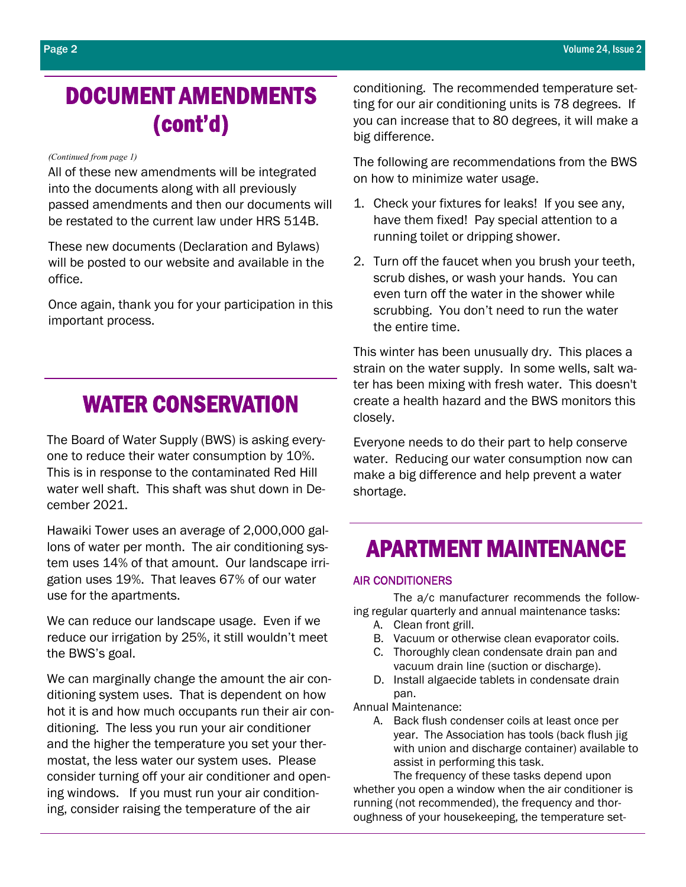# DOCUMENT AMENDMENTS (cont'd)

#### *(Continued from page 1)*

All of these new amendments will be integrated into the documents along with all previously passed amendments and then our documents will be restated to the current law under HRS 514B.

These new documents (Declaration and Bylaws) will be posted to our website and available in the office.

Once again, thank you for your participation in this important process.

## WATER CONSERVATION

The Board of Water Supply (BWS) is asking everyone to reduce their water consumption by 10%. This is in response to the contaminated Red Hill water well shaft. This shaft was shut down in December 2021.

Hawaiki Tower uses an average of 2,000,000 gallons of water per month. The air conditioning system uses 14% of that amount. Our landscape irrigation uses 19%. That leaves 67% of our water use for the apartments.

We can reduce our landscape usage. Even if we reduce our irrigation by 25%, it still wouldn't meet the BWS's goal.

We can marginally change the amount the air conditioning system uses. That is dependent on how hot it is and how much occupants run their air conditioning. The less you run your air conditioner and the higher the temperature you set your thermostat, the less water our system uses. Please consider turning off your air conditioner and opening windows. If you must run your air conditioning, consider raising the temperature of the air

conditioning. The recommended temperature setting for our air conditioning units is 78 degrees. If you can increase that to 80 degrees, it will make a big difference.

The following are recommendations from the BWS on how to minimize water usage.

- 1. Check your fixtures for leaks! If you see any, have them fixed! Pay special attention to a running toilet or dripping shower.
- 2. Turn off the faucet when you brush your teeth, scrub dishes, or wash your hands. You can even turn off the water in the shower while scrubbing. You don't need to run the water the entire time.

This winter has been unusually dry. This places a strain on the water supply. In some wells, salt water has been mixing with fresh water. This doesn't create a health hazard and the BWS monitors this closely.

Everyone needs to do their part to help conserve water. Reducing our water consumption now can make a big difference and help prevent a water shortage.

## APARTMENT MAINTENANCE

#### AIR CONDITIONERS

 The a/c manufacturer recommends the following regular quarterly and annual maintenance tasks:

- A. Clean front grill.
- B. Vacuum or otherwise clean evaporator coils.
- C. Thoroughly clean condensate drain pan and vacuum drain line (suction or discharge).
- D. Install algaecide tablets in condensate drain pan.

Annual Maintenance:

A. Back flush condenser coils at least once per year. The Association has tools (back flush jig with union and discharge container) available to assist in performing this task.

 The frequency of these tasks depend upon whether you open a window when the air conditioner is running (not recommended), the frequency and thoroughness of your housekeeping, the temperature set-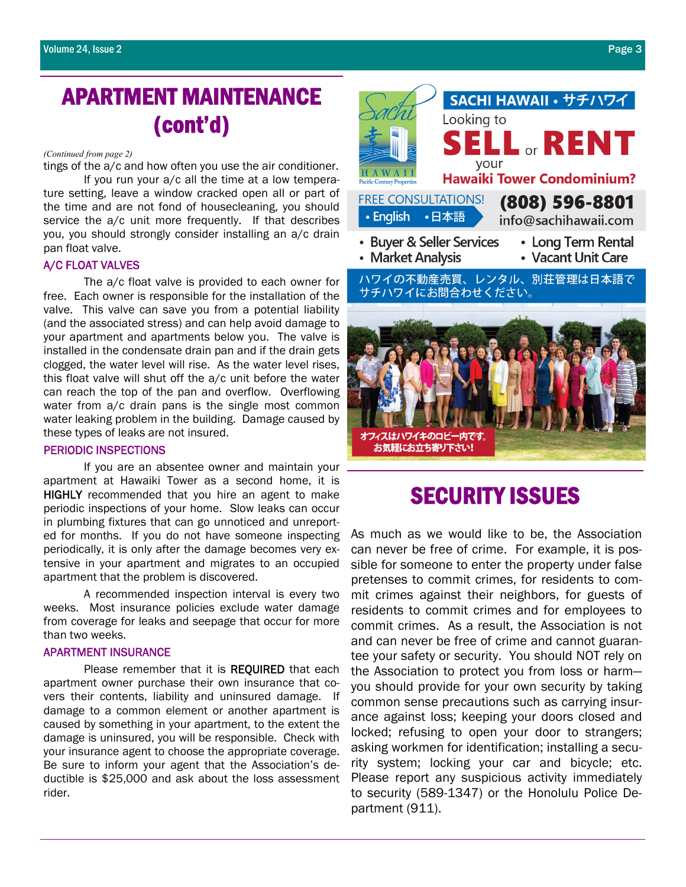### APARTMENT MAINTENANCE (cont'd)

#### *(Continued from page 2)*

tings of the a/c and how often you use the air conditioner.

 If you run your a/c all the time at a low temperature setting, leave a window cracked open all or part of the time and are not fond of housecleaning, you should service the a/c unit more frequently. If that describes you, you should strongly consider installing an a/c drain pan float valve.

#### A/C FLOAT VALVES

 The a/c float valve is provided to each owner for free. Each owner is responsible for the installation of the valve. This valve can save you from a potential liability (and the associated stress) and can help avoid damage to your apartment and apartments below you. The valve is installed in the condensate drain pan and if the drain gets clogged, the water level will rise. As the water level rises, this float valve will shut off the a/c unit before the water can reach the top of the pan and overflow. Overflowing water from a/c drain pans is the single most common water leaking problem in the building. Damage caused by these types of leaks are not insured.

#### PERIODIC INSPECTIONS

 If you are an absentee owner and maintain your apartment at Hawaiki Tower as a second home, it is HIGHLY recommended that you hire an agent to make periodic inspections of your home. Slow leaks can occur in plumbing fixtures that can go unnoticed and unreported for months. If you do not have someone inspecting periodically, it is only after the damage becomes very extensive in your apartment and migrates to an occupied apartment that the problem is discovered.

 A recommended inspection interval is every two weeks. Most insurance policies exclude water damage from coverage for leaks and seepage that occur for more than two weeks.

#### APARTMENT INSURANCE

Please remember that it is REQUIRED that each apartment owner purchase their own insurance that covers their contents, liability and uninsured damage. If damage to a common element or another apartment is caused by something in your apartment, to the extent the damage is uninsured, you will be responsible. Check with your insurance agent to choose the appropriate coverage. Be sure to inform your agent that the Association's deductible is \$25,000 and ask about the loss assessment rider.



SACHI HAWAII · サチハワイ

オフィスはハワイキのロビー内です。

#### お気軽にお立ち寄り下さい!

### SECURITY ISSUES

As much as we would like to be, the Association can never be free of crime. For example, it is possible for someone to enter the property under false pretenses to commit crimes, for residents to commit crimes against their neighbors, for guests of residents to commit crimes and for employees to commit crimes. As a result, the Association is not and can never be free of crime and cannot guarantee your safety or security. You should NOT rely on the Association to protect you from loss or harm you should provide for your own security by taking common sense precautions such as carrying insurance against loss; keeping your doors closed and locked; refusing to open your door to strangers; asking workmen for identification; installing a security system; locking your car and bicycle; etc. Please report any suspicious activity immediately to security (589-1347) or the Honolulu Police Department (911).